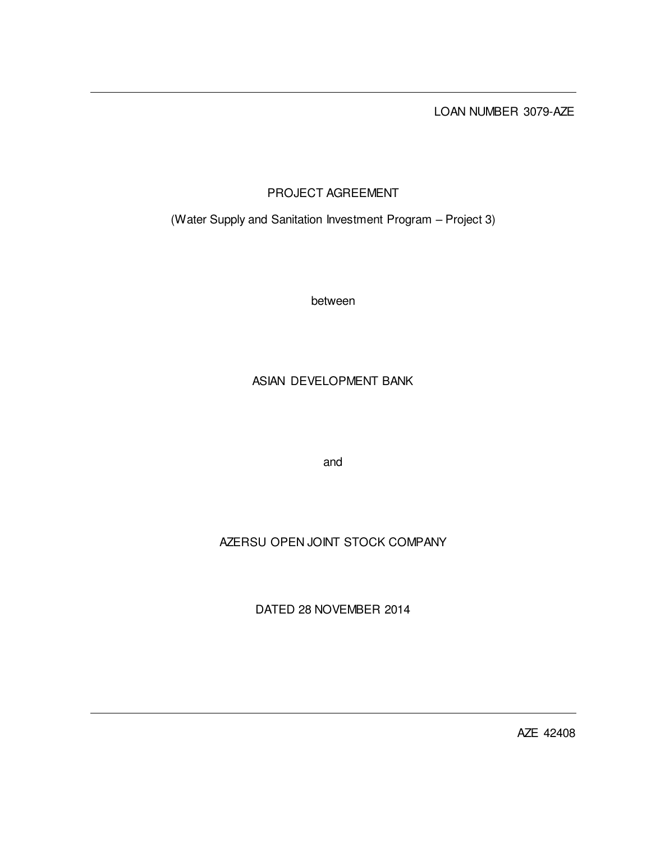LOAN NUMBER 3079-AZE

# PROJECT AGREEMENT

(Water Supply and Sanitation Investment Program – Project 3)

between

## ASIAN DEVELOPMENT BANK

and

# AZERSU OPEN JOINT STOCK COMPANY

DATED 28 NOVEMBER 2014

AZE 42408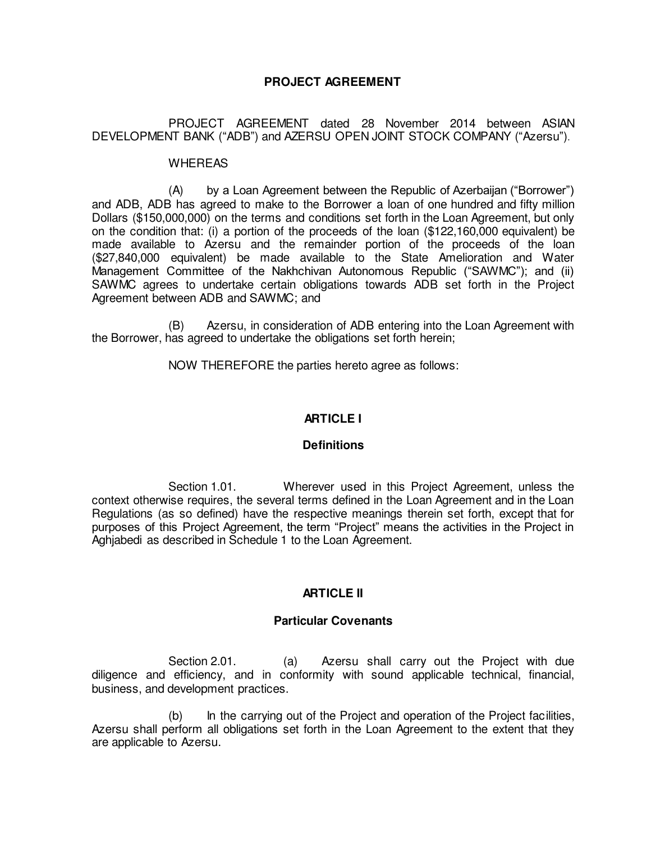## **PROJECT AGREEMENT**

## PROJECT AGREEMENT dated 28 November 2014 between ASIAN DEVELOPMENT BANK ("ADB") and AZERSU OPEN JOINT STOCK COMPANY ("Azersu").

#### **WHEREAS**

 (A) by a Loan Agreement between the Republic of Azerbaijan ("Borrower") and ADB, ADB has agreed to make to the Borrower a loan of one hundred and fifty million Dollars (\$150,000,000) on the terms and conditions set forth in the Loan Agreement, but only on the condition that: (i) a portion of the proceeds of the loan (\$122,160,000 equivalent) be made available to Azersu and the remainder portion of the proceeds of the loan (\$27,840,000 equivalent) be made available to the State Amelioration and Water Management Committee of the Nakhchivan Autonomous Republic ("SAWMC"); and (ii) SAWMC agrees to undertake certain obligations towards ADB set forth in the Project Agreement between ADB and SAWMC; and

(B) Azersu, in consideration of ADB entering into the Loan Agreement with the Borrower, has agreed to undertake the obligations set forth herein;

NOW THEREFORE the parties hereto agree as follows:

## **ARTICLE I**

## **Definitions**

 Section 1.01. Wherever used in this Project Agreement, unless the context otherwise requires, the several terms defined in the Loan Agreement and in the Loan Regulations (as so defined) have the respective meanings therein set forth, except that for purposes of this Project Agreement, the term "Project" means the activities in the Project in Aghjabedi as described in Schedule 1 to the Loan Agreement.

## **ARTICLE II**

## **Particular Covenants**

 Section 2.01. (a) Azersu shall carry out the Project with due diligence and efficiency, and in conformity with sound applicable technical, financial, business, and development practices.

 (b) In the carrying out of the Project and operation of the Project facilities, Azersu shall perform all obligations set forth in the Loan Agreement to the extent that they are applicable to Azersu.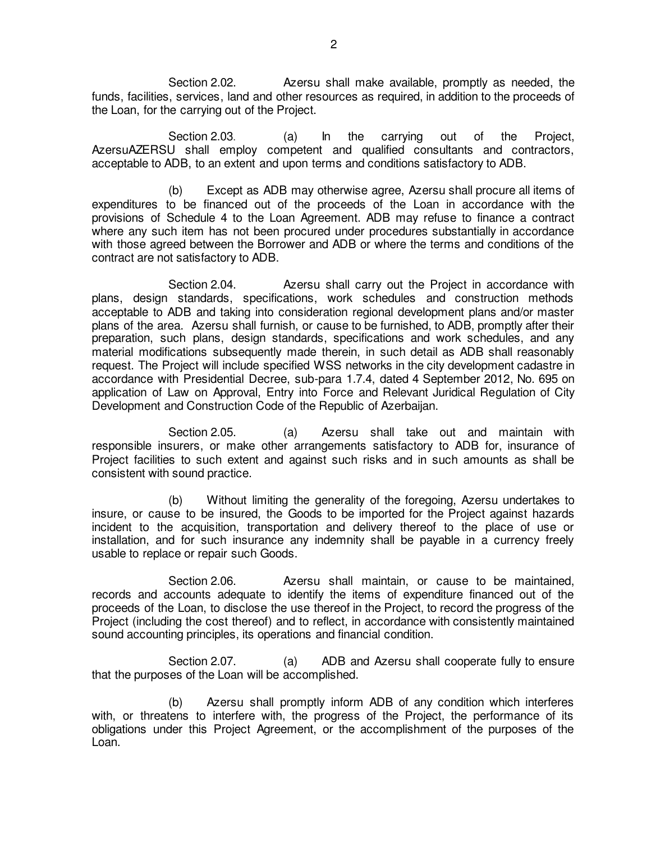Section 2.02. Azersu shall make available, promptly as needed, the funds, facilities, services, land and other resources as required, in addition to the proceeds of the Loan, for the carrying out of the Project.

 Section 2.03. (a) In the carrying out of the Project, AzersuAZERSU shall employ competent and qualified consultants and contractors, acceptable to ADB, to an extent and upon terms and conditions satisfactory to ADB.

 (b) Except as ADB may otherwise agree, Azersu shall procure all items of expenditures to be financed out of the proceeds of the Loan in accordance with the provisions of Schedule 4 to the Loan Agreement. ADB may refuse to finance a contract where any such item has not been procured under procedures substantially in accordance with those agreed between the Borrower and ADB or where the terms and conditions of the contract are not satisfactory to ADB.

 Section 2.04. Azersu shall carry out the Project in accordance with plans, design standards, specifications, work schedules and construction methods acceptable to ADB and taking into consideration regional development plans and/or master plans of the area. Azersu shall furnish, or cause to be furnished, to ADB, promptly after their preparation, such plans, design standards, specifications and work schedules, and any material modifications subsequently made therein, in such detail as ADB shall reasonably request. The Project will include specified WSS networks in the city development cadastre in accordance with Presidential Decree, sub-para 1.7.4, dated 4 September 2012, No. 695 on application of Law on Approval, Entry into Force and Relevant Juridical Regulation of City Development and Construction Code of the Republic of Azerbaijan.

Section 2.05. (a) Azersu shall take out and maintain with responsible insurers, or make other arrangements satisfactory to ADB for, insurance of Project facilities to such extent and against such risks and in such amounts as shall be consistent with sound practice.

 (b) Without limiting the generality of the foregoing, Azersu undertakes to insure, or cause to be insured, the Goods to be imported for the Project against hazards incident to the acquisition, transportation and delivery thereof to the place of use or installation, and for such insurance any indemnity shall be payable in a currency freely usable to replace or repair such Goods.

Section 2.06. **Azersu** shall maintain, or cause to be maintained, records and accounts adequate to identify the items of expenditure financed out of the proceeds of the Loan, to disclose the use thereof in the Project, to record the progress of the Project (including the cost thereof) and to reflect, in accordance with consistently maintained sound accounting principles, its operations and financial condition.

Section 2.07. (a) ADB and Azersu shall cooperate fully to ensure that the purposes of the Loan will be accomplished.

 (b) Azersu shall promptly inform ADB of any condition which interferes with, or threatens to interfere with, the progress of the Project, the performance of its obligations under this Project Agreement, or the accomplishment of the purposes of the Loan.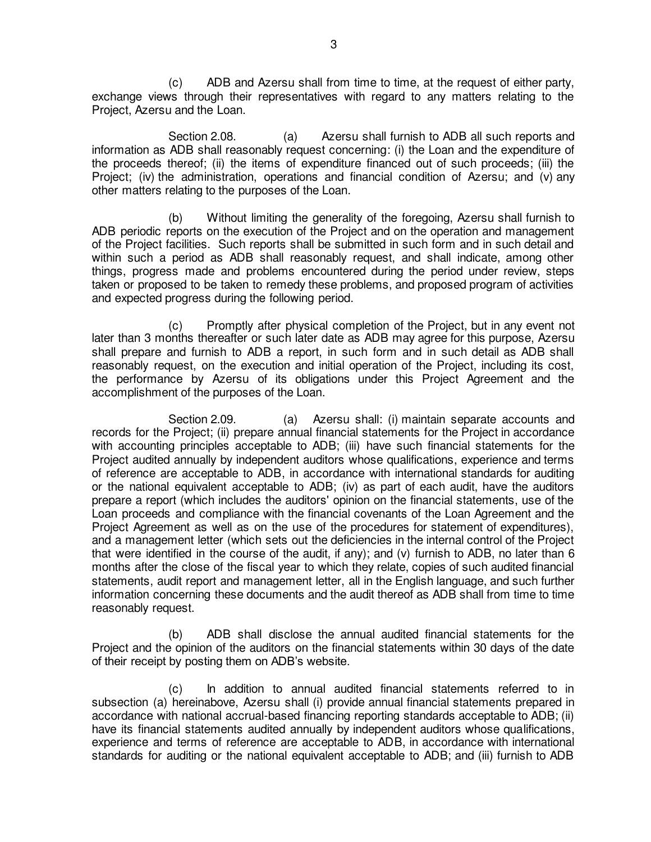(c) ADB and Azersu shall from time to time, at the request of either party, exchange views through their representatives with regard to any matters relating to the Project, Azersu and the Loan.

Section 2.08. (a) Azersu shall furnish to ADB all such reports and information as ADB shall reasonably request concerning: (i) the Loan and the expenditure of the proceeds thereof; (ii) the items of expenditure financed out of such proceeds; (iii) the Project: (iv) the administration, operations and financial condition of Azersu; and (v) any other matters relating to the purposes of the Loan.

 (b) Without limiting the generality of the foregoing, Azersu shall furnish to ADB periodic reports on the execution of the Project and on the operation and management of the Project facilities. Such reports shall be submitted in such form and in such detail and within such a period as ADB shall reasonably request, and shall indicate, among other things, progress made and problems encountered during the period under review, steps taken or proposed to be taken to remedy these problems, and proposed program of activities and expected progress during the following period.

 (c) Promptly after physical completion of the Project, but in any event not later than 3 months thereafter or such later date as ADB may agree for this purpose, Azersu shall prepare and furnish to ADB a report, in such form and in such detail as ADB shall reasonably request, on the execution and initial operation of the Project, including its cost, the performance by Azersu of its obligations under this Project Agreement and the accomplishment of the purposes of the Loan.

 Section 2.09. (a) Azersu shall: (i) maintain separate accounts and records for the Project; (ii) prepare annual financial statements for the Project in accordance with accounting principles acceptable to ADB; (iii) have such financial statements for the Project audited annually by independent auditors whose qualifications, experience and terms of reference are acceptable to ADB, in accordance with international standards for auditing or the national equivalent acceptable to ADB; (iv) as part of each audit, have the auditors prepare a report (which includes the auditors' opinion on the financial statements, use of the Loan proceeds and compliance with the financial covenants of the Loan Agreement and the Project Agreement as well as on the use of the procedures for statement of expenditures), and a management letter (which sets out the deficiencies in the internal control of the Project that were identified in the course of the audit, if any); and (v) furnish to ADB, no later than 6 months after the close of the fiscal year to which they relate, copies of such audited financial statements, audit report and management letter, all in the English language, and such further information concerning these documents and the audit thereof as ADB shall from time to time reasonably request.

 (b) ADB shall disclose the annual audited financial statements for the Project and the opinion of the auditors on the financial statements within 30 days of the date of their receipt by posting them on ADB's website.

 (c) In addition to annual audited financial statements referred to in subsection (a) hereinabove, Azersu shall (i) provide annual financial statements prepared in accordance with national accrual-based financing reporting standards acceptable to ADB; (ii) have its financial statements audited annually by independent auditors whose qualifications, experience and terms of reference are acceptable to ADB, in accordance with international standards for auditing or the national equivalent acceptable to ADB; and (iii) furnish to ADB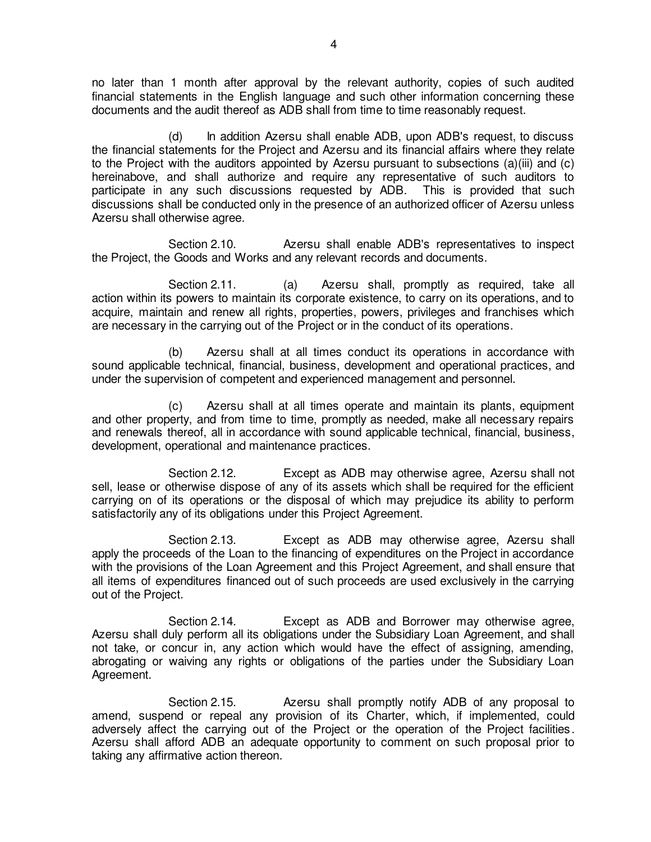no later than 1 month after approval by the relevant authority, copies of such audited financial statements in the English language and such other information concerning these documents and the audit thereof as ADB shall from time to time reasonably request.

 (d) In addition Azersu shall enable ADB, upon ADB's request, to discuss the financial statements for the Project and Azersu and its financial affairs where they relate to the Project with the auditors appointed by Azersu pursuant to subsections (a)(iii) and (c) hereinabove, and shall authorize and require any representative of such auditors to participate in any such discussions requested by ADB. This is provided that such discussions shall be conducted only in the presence of an authorized officer of Azersu unless Azersu shall otherwise agree.

 Section 2.10. Azersu shall enable ADB's representatives to inspect the Project, the Goods and Works and any relevant records and documents.

Section 2.11. (a) Azersu shall, promptly as required, take all action within its powers to maintain its corporate existence, to carry on its operations, and to acquire, maintain and renew all rights, properties, powers, privileges and franchises which are necessary in the carrying out of the Project or in the conduct of its operations.

 (b) Azersu shall at all times conduct its operations in accordance with sound applicable technical, financial, business, development and operational practices, and under the supervision of competent and experienced management and personnel.

 (c) Azersu shall at all times operate and maintain its plants, equipment and other property, and from time to time, promptly as needed, make all necessary repairs and renewals thereof, all in accordance with sound applicable technical, financial, business, development, operational and maintenance practices.

 Section 2.12. Except as ADB may otherwise agree, Azersu shall not sell, lease or otherwise dispose of any of its assets which shall be required for the efficient carrying on of its operations or the disposal of which may prejudice its ability to perform satisfactorily any of its obligations under this Project Agreement.

 Section 2.13. Except as ADB may otherwise agree, Azersu shall apply the proceeds of the Loan to the financing of expenditures on the Project in accordance with the provisions of the Loan Agreement and this Project Agreement, and shall ensure that all items of expenditures financed out of such proceeds are used exclusively in the carrying out of the Project.

 Section 2.14. Except as ADB and Borrower may otherwise agree, Azersu shall duly perform all its obligations under the Subsidiary Loan Agreement, and shall not take, or concur in, any action which would have the effect of assigning, amending, abrogating or waiving any rights or obligations of the parties under the Subsidiary Loan Agreement.

 Section 2.15. Azersu shall promptly notify ADB of any proposal to amend, suspend or repeal any provision of its Charter, which, if implemented, could adversely affect the carrying out of the Project or the operation of the Project facilities. Azersu shall afford ADB an adequate opportunity to comment on such proposal prior to taking any affirmative action thereon.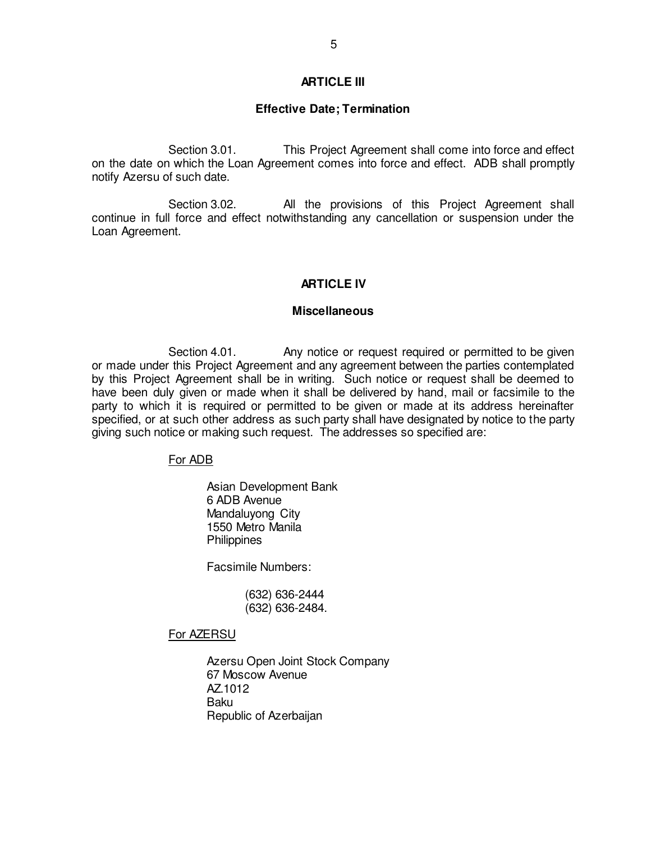#### **ARTICLE III**

#### **Effective Date; Termination**

Section 3.01. This Project Agreement shall come into force and effect on the date on which the Loan Agreement comes into force and effect. ADB shall promptly notify Azersu of such date.

Section 3.02. All the provisions of this Project Agreement shall continue in full force and effect notwithstanding any cancellation or suspension under the Loan Agreement.

#### **ARTICLE IV**

#### **Miscellaneous**

Section 4.01. Any notice or request required or permitted to be given or made under this Project Agreement and any agreement between the parties contemplated by this Project Agreement shall be in writing. Such notice or request shall be deemed to have been duly given or made when it shall be delivered by hand, mail or facsimile to the party to which it is required or permitted to be given or made at its address hereinafter specified, or at such other address as such party shall have designated by notice to the party giving such notice or making such request. The addresses so specified are:

For ADB

Asian Development Bank 6 ADB Avenue Mandaluyong City 1550 Metro Manila **Philippines** 

Facsimile Numbers:

 (632) 636-2444 (632) 636-2484.

For AZERSU

 Azersu Open Joint Stock Company 67 Moscow Avenue AZ.1012 Baku Republic of Azerbaijan